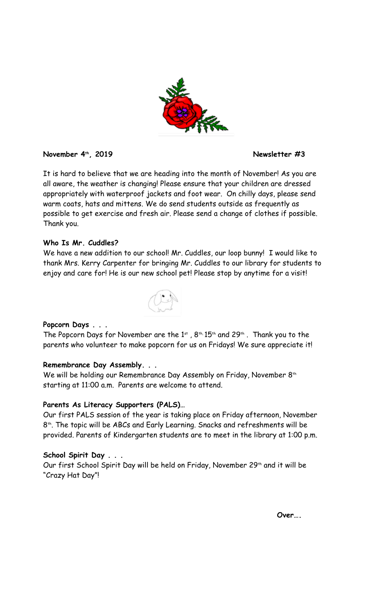

### **November 4th, 2019 Newsletter #3**

It is hard to believe that we are heading into the month of November! As you are all aware, the weather is changing! Please ensure that your children are dressed appropriately with waterproof jackets and foot wear. On chilly days, please send warm coats, hats and mittens. We do send students outside as frequently as possible to get exercise and fresh air. Please send a change of clothes if possible. Thank you.

## **Who Is Mr. Cuddles?**

We have a new addition to our school! Mr. Cuddles, our loop bunny! I would like to thank Mrs. Kerry Carpenter for bringing Mr. Cuddles to our library for students to enjoy and care for! He is our new school pet! Please stop by anytime for a visit!



# **Popcorn Days . . .**

The Popcorn Days for November are the 1st ,  $8^{\text{th}}$ , 15<sup>th</sup> and 29<sup>th</sup> . Thank you to the parents who volunteer to make popcorn for us on Fridays! We sure appreciate it!

# **Remembrance Day Assembly. . .**

We will be holding our Remembrance Day Assembly on Friday, November 8<sup>th</sup> starting at 11:00 a.m. Parents are welcome to attend.

### **Parents As Literacy Supporters (PALS)…**

Our first PALS session of the year is taking place on Friday afternoon, November 8 th. The topic will be ABCs and Early Learning. Snacks and refreshments will be provided. Parents of Kindergarten students are to meet in the library at 1:00 p.m.

# **School Spirit Day . . .**

Our first School Spirit Day will be held on Friday, November 29<sup>th</sup> and it will be "Crazy Hat Day"!

 **Over….**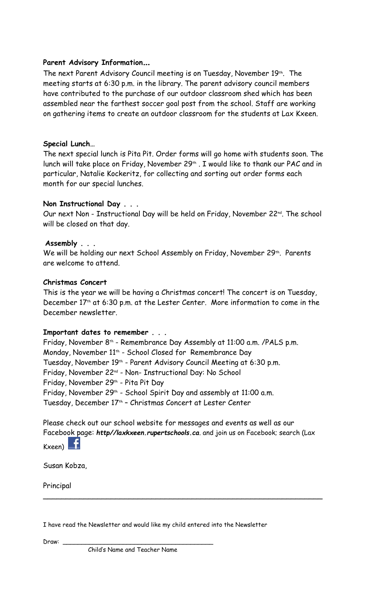# **Parent Advisory Information…**

The next Parent Advisory Council meeting is on Tuesday, November 19th . The meeting starts at 6:30 p.m. in the library. The parent advisory council members have contributed to the purchase of our outdoor classroom shed which has been assembled near the farthest soccer goal post from the school. Staff are working on gathering items to create an outdoor classroom for the students at Lax Kxeen.

## **Special Lunch…**

The next special lunch is Pita Pit. Order forms will go home with students soon. The lunch will take place on Friday, November 29th . I would like to thank our PAC and in particular, Natalie Kockeritz, for collecting and sorting out order forms each month for our special lunches.

## **Non Instructional Day . . .**

Our next Non - Instructional Day will be held on Friday, November 22<sup>nd</sup>. The school will be closed on that day.

## **Assembly . . .**

We will be holding our next School Assembly on Friday, November 29th. Parents are welcome to attend.

### **Christmas Concert**

This is the year we will be having a Christmas concert! The concert is on Tuesday, December 17th at 6:30 p.m. at the Lester Center. More information to come in the December newsletter.

### **Important dates to remember . . .**

Friday, November 8<sup>th</sup> - Remembrance Day Assembly at 11:00 a.m. /PALS p.m. Monday, November 11th - School Closed for Remembrance Day Tuesday, November 19<sup>th</sup> - Parent Advisory Council Meeting at 6:30 p.m. Friday, November 22nd - Non- Instructional Day: No School Friday, November 29th - Pita Pit Day Friday, November 29<sup>th</sup> - School Spirit Day and assembly at 11:00 a.m. Tuesday, December 17th – Christmas Concert at Lester Center

Please check out our school website for messages and events as well as our Facebook page: *http//laxkxeen.rupertschools.ca*. and join us on Facebook; search (Lax Kxeen) **Li** 

 $\sim$  . The contract of the contract of the contract of the contract of the contract of the contract of the contract of

Susan Kobza,

Principal

| I have read the Newsletter and would like my child entered into the Newsletter |  |  |  |
|--------------------------------------------------------------------------------|--|--|--|
|--------------------------------------------------------------------------------|--|--|--|

Draw: \_\_\_\_\_\_\_\_\_\_\_\_\_\_\_\_\_\_\_\_\_\_\_\_\_\_\_\_\_\_\_\_\_\_\_\_\_\_\_\_

Child's Name and Teacher Name